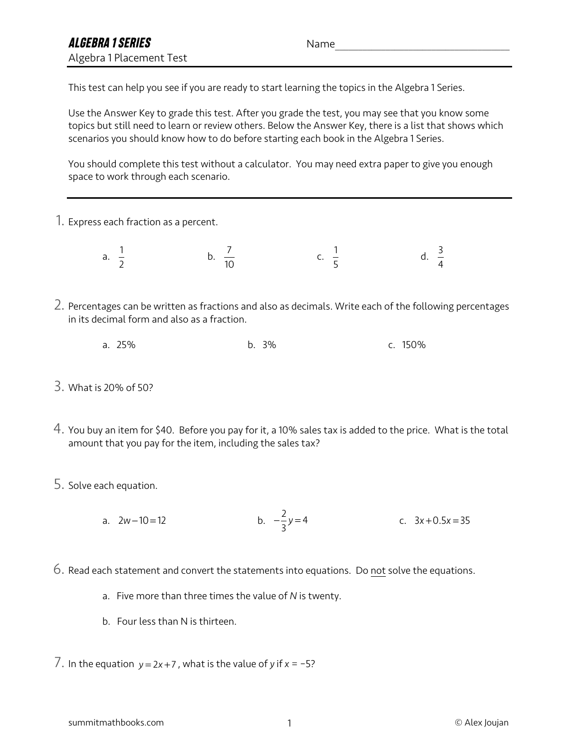This test can help you see if you are ready to start learning the topics in the Algebra 1 Series.

Use the Answer Key to grade this test. After you grade the test, you may see that you know some topics but still need to learn or review others. Below the Answer Key, there is a list that shows which scenarios you should know how to do before starting each book in the Algebra 1 Series.

You should complete this test without a calculator. You may need extra paper to give you enough space to work through each scenario.

1. Express each fraction as a percent.

a.  $\frac{1}{2}$  b.  $\frac{7}{10}$  c.  $\frac{1}{5}$  d. 2 7 10 1 5 3 4

- 2. Percentages can be written as fractions and also as decimals. Write each of the following percentages in its decimal form and also as a fraction.
	- a. 25% b. 3% c. 150%
- 3. What is 20% of 50?
- 4. You buy an item for \$40. Before you pay for it, a 10% sales tax is added to the price. What is the total amount that you pay for the item, including the sales tax?
- 5. Solve each equation.
	- a.  $2w-10=12$  b.  $-\frac{2}{3}y=4$  c. b.  $-\frac{2}{3}y=4$  $x - 3x + 0.5x = 35$
- 6. Read each statement and convert the statements into equations. Do not solve the equations.
	- a. Five more than three times the value of *N* is twenty.
	- b. Four less than N is thirteen.

 $7.$  In the equation  $y = 2x + 7$ , what is the value of *y* if  $x = -5$ ?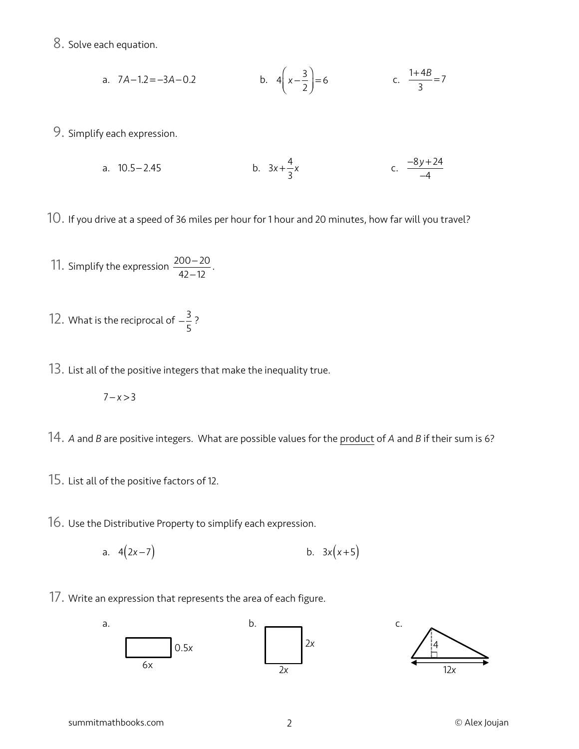8. Solve each equation.

a. 
$$
7A-1.2=-3A-0.2
$$
 b.  $4\left(x-\frac{3}{2}\right)=6$  c.  $\frac{1+4B}{3}=7$ 

9. Simplify each expression.

a. 10.5-2.45 b. 
$$
3x + \frac{4}{3}x
$$
 c.  $\frac{-8y + 24}{-4}$ 

10. If you drive at a speed of 36 miles per hour for 1 hour and 20 minutes, how far will you travel?

11. Simplify the expression  $\frac{200-20}{12}$ . 42−12

12. What is the reciprocal of  $-\frac{3}{5}$ ? 5

13. List all of the positive integers that make the inequality true.

$$
7-x>3
$$

14. *<sup>A</sup>* and *<sup>B</sup>* are positive integers. What are possible values for the product of *<sup>A</sup>* and *<sup>B</sup>* if their sum is 6?

- 15. List all of the positive factors of 12.
- 16. Use the Distributive Property to simplify each expression.
	- a.  $4(2x-7)$ b.  $3x(x+5)$
- 17. Write an expression that represents the area of each figure.

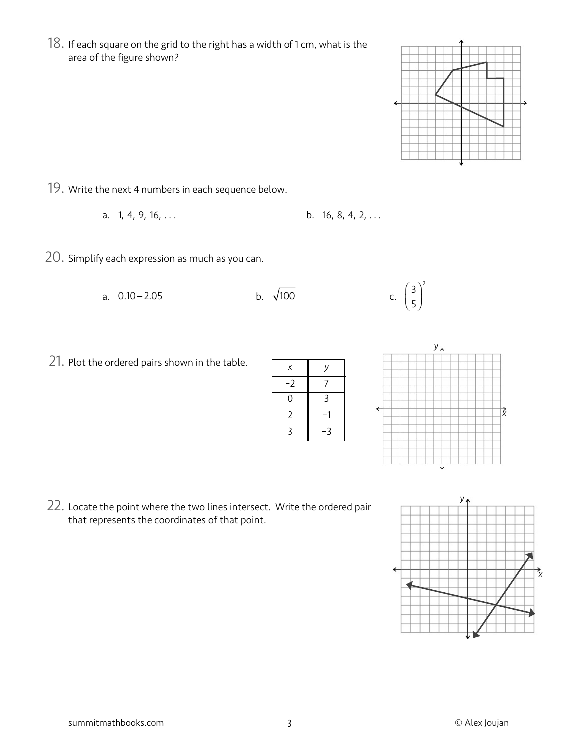18. If each square on the grid to the right has a width of 1 cm, what is the area of the figure shown?

- 19. Write the next 4 numbers in each sequence below.
	- a.  $1, 4, 9, 16, \ldots$ b. 16, 8, 4, 2, ...
- 20. Simplify each expression as much as you can.

21. Plot the ordered pairs shown in the table.

a.  $0.10 - 2.05$ 

22. Locate the point where the two lines intersect. Write the ordered pair

5  $\big($  $\overline{\mathcal{N}}$ ⎞  $\overline{a}$ 2

*y*

that represents the coordinates of that point.





*x*





b.  $\sqrt{100}$